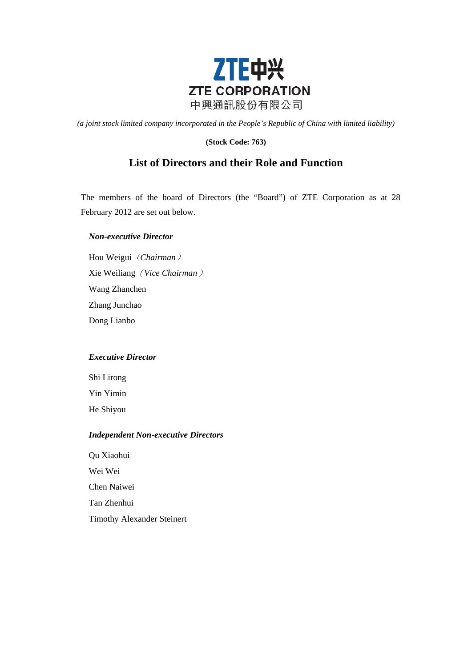

*(a joint stock limited company incorporated in the People's Republic of China with limited liability)*

## **(Stock Code: 763)**

# **List of Directors and their Role and Function**

The members of the board of Directors (the "Board") of ZTE Corporation as at 28 February 2012 are set out below.

#### *Non-executive Director*

Hou Weigui(*Chairman*) Xie Weiliang(*Vice Chairman*) Wang Zhanchen Zhang Junchao Dong Lianbo

# *Executive Director*

Shi Lirong Yin Yimin He Shiyou

## *Independent Non-executive Directors*

Qu Xiaohui Wei Wei Chen Naiwei Tan Zhenhui Timothy Alexander Steinert